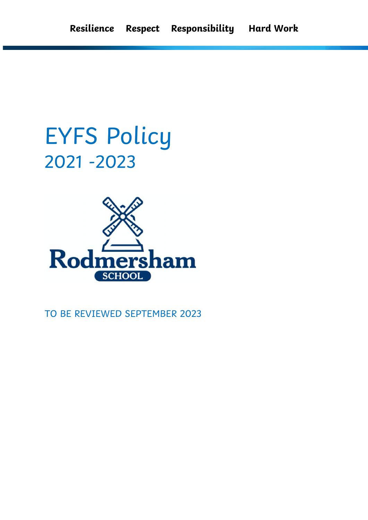# EYFS Policy 2021 -2023



TO BE REVIEWED SEPTEMBER 2023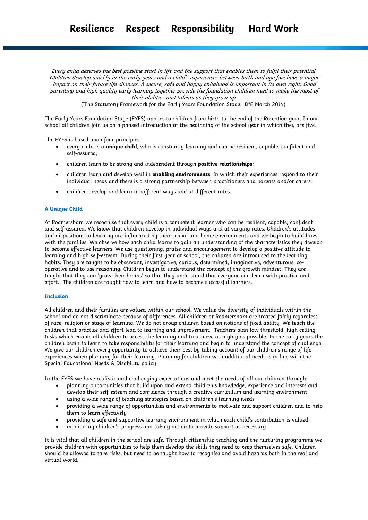Every child deserves the best possible start in life and the support that enables them to fulfil their potential. Children develop quickly in the early years and a child's experiences between birth and age five have a major impact on their future life chances. A secure, safe and happy childhood is important in its own right. Good parenting and high quality early learning together provide the foundation children need to make the most of their abilities and talents as they grow up.

('The Statutory Framework for the Early Years Foundation Stage.' DfE March 2014).

The Early Years Foundation Stage (EYFS) applies to children from birth to the end of the Reception year. In our school all children join us on a phased introduction at the beginning of the school year in which they are five.

The EYFS is based upon four principles:

- every child is a **unique child**, who is constantly learning and can be resilient, capable, confident and self-assured;
- children learn to be strong and independent through **positive relationships**;
- children learn and develop well in **enabling environments**, in which their experiences respond to their individual needs and there is a strong partnership between practitioners and parents and/or carers;
- children develop and learn in different ways and at different rates.

# **A Unique Child**

At Rodmersham we recognise that every child is a competent learner who can be resilient, capable, confident and self-assured. We know that children develop in individual ways and at varying rates. Children's attitudes and dispositions to learning are influenced by their school and home environments and we begin to build links with the families. We observe how each child learns to gain an understanding of the characteristics they develop to become effective learners. We use questioning, praise and encouragement to develop a positive attitude to learning and high self-esteem. During their first year at school, the children are introduced to the learning habits. They are taught to be observant, investigative, curious, determined, imaginative, adventurous, cooperative and to use reasoning. Children begin to understand the concept of the growth mindset. They are taught that they can 'grow their brains' so that they understand that everyone can learn with practice and effort. The children are taught how to learn and how to become successful learners.

#### **Inclusion**

All children and their families are valued within our school. We value the diversity of individuals within the school and do not discriminate because of differences. All children at Rodmersham are treated fairly regardless of race, religion or stage of learning. We do not group children based on notions of fixed ability. We teach the children that practice and effort lead to learning and improvement. Teachers plan low threshold, high ceiling tasks which enable all children to access the learning and to achieve as highly as possible. In the early years the children begin to learn to take responsibility for their learning and begin to understand the concept of challenge. We give our children every opportunity to achieve their best by taking account of our children's range of life experiences when planning for their learning. Planning for children with additional needs is in line with the Special Educational Needs & Disability policy.

In the EYFS we have realistic and challenging expectations and meet the needs of all our children through:

- planning opportunities that build upon and extend children's knowledge, experience and interests and develop their self-esteem and confidence through a creative curriculum and learning environment
- using a wide range of teaching strategies based on children's learning needs
- providing a wide range of opportunities and environments to motivate and support children and to help them to learn effectively
- providing a safe and supportive learning environment in which each child's contribution is valued
- monitoring children's progress and taking action to provide support as necessary

It is vital that all children in the school are safe. Through citizenship teaching and the nurturing programme we provide children with opportunities to help them develop the skills they need to keep themselves safe. Children should be allowed to take risks, but need to be taught how to recognise and avoid hazards both in the real and virtual world.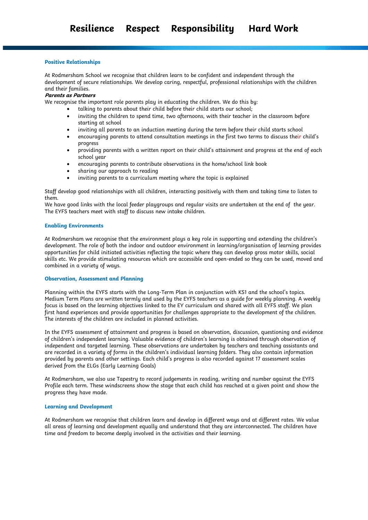# **Positive Relationships**

At Rodmersham School we recognise that children learn to be confident and independent through the development of secure relationships. We develop caring, respectful, professional relationships with the children and their families.

# **Parents as Partners**

We recognise the important role parents play in educating the children. We do this by:

- talking to parents about their child before their child starts our school;
- inviting the children to spend time, two afternoons, with their teacher in the classroom before starting at school
- inviting all parents to an induction meeting during the term before their child starts school
- encouraging parents to attend consultation meetings in the first two terms to discuss their child's progress
- providing parents with a written report on their child's attainment and progress at the end of each school year
- encouraging parents to contribute observations in the home/school link book
- sharing our approach to reading
- inviting parents to a curriculum meeting where the topic is explained

Staff develop good relationships with all children, interacting positively with them and taking time to listen to them.

We have good links with the local feeder playgroups and regular visits are undertaken at the end of the year. The EYFS teachers meet with staff to discuss new intake children.

#### **Enabling Environments**

At Rodmersham we recognise that the environment plays a key role in supporting and extending the children's development. The role of both the indoor and outdoor environment in learning/organisation of learning provides opportunities for child initiated activities reflecting the topic where they can develop gross motor skills, social skills etc. We provide stimulating resources which are accessible and open-ended so they can be used, moved and combined in a variety of ways.

# **Observation, Assessment and Planning**

Planning within the EYFS starts with the Long-Term Plan in conjunction with KS1 and the school's topics. Medium Term Plans are written termly and used by the EYFS teachers as a guide for weekly planning. A weekly focus is based on the learning objectives linked to the EY curriculum and shared with all EYFS staff. We plan first hand experiences and provide opportunities for challenges appropriate to the development of the children. The interests of the children are included in planned activities.

In the EYFS assessment of attainment and progress is based on observation, discussion, questioning and evidence of children's independent learning. Valuable evidence of children's learning is obtained through observation of independent and targeted learning. These observations are undertaken by teachers and teaching assistants and are recorded in a variety of forms in the children's individual learning folders. They also contain information provided by parents and other settings. Each child's progress is also recorded against 17 assessment scales derived from the ELGs (Early Learning Goals)

At Rodmersham, we also use Tapestry to record judgements in reading, writing and number against the EYFS Profile each term. These windscreens show the stage that each child has reached at a given point and show the progress they have made.

#### **Learning and Development**

At Rodmersham we recognise that children learn and develop in different ways and at different rates. We value all areas of learning and development equally and understand that they are interconnected. The children have time and freedom to become deeply involved in the activities and their learning.